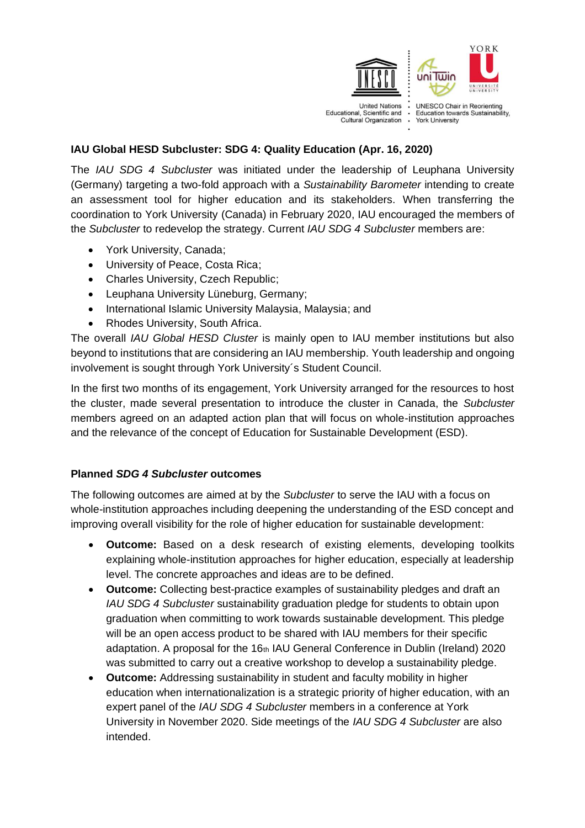

## **IAU Global HESD Subcluster: SDG 4: Quality Education (Apr. 16, 2020)**

The *IAU SDG 4 Subcluster* was initiated under the leadership of Leuphana University (Germany) targeting a two-fold approach with a *Sustainability Barometer* intending to create an assessment tool for higher education and its stakeholders. When transferring the coordination to York University (Canada) in February 2020, IAU encouraged the members of the *Subcluster* to redevelop the strategy. Current *IAU SDG 4 Subcluster* members are:

- York University, Canada;
- University of Peace, Costa Rica;
- Charles University, Czech Republic;
- Leuphana University Lüneburg, Germany;
- International Islamic University Malaysia, Malaysia; and
- Rhodes University, South Africa.

The overall *IAU Global HESD Cluster* is mainly open to IAU member institutions but also beyond to institutions that are considering an IAU membership. Youth leadership and ongoing involvement is sought through York University´s Student Council.

In the first two months of its engagement, York University arranged for the resources to host the cluster, made several presentation to introduce the cluster in Canada, the *Subcluster* members agreed on an adapted action plan that will focus on whole-institution approaches and the relevance of the concept of Education for Sustainable Development (ESD).

## **Planned** *SDG 4 Subcluster* **outcomes**

The following outcomes are aimed at by the *Subcluster* to serve the IAU with a focus on whole-institution approaches including deepening the understanding of the ESD concept and improving overall visibility for the role of higher education for sustainable development:

- **Outcome:** Based on a desk research of existing elements, developing toolkits explaining whole-institution approaches for higher education, especially at leadership level. The concrete approaches and ideas are to be defined.
- **Outcome:** Collecting best-practice examples of sustainability pledges and draft an *IAU SDG 4 Subcluster* sustainability graduation pledge for students to obtain upon graduation when committing to work towards sustainable development. This pledge will be an open access product to be shared with IAU members for their specific adaptation. A proposal for the  $16<sub>th</sub>$  IAU General Conference in Dublin (Ireland) 2020 was submitted to carry out a creative workshop to develop a sustainability pledge.
- **Outcome:** Addressing sustainability in student and faculty mobility in higher education when internationalization is a strategic priority of higher education, with an expert panel of the *IAU SDG 4 Subcluster* members in a conference at York University in November 2020. Side meetings of the *IAU SDG 4 Subcluster* are also intended.